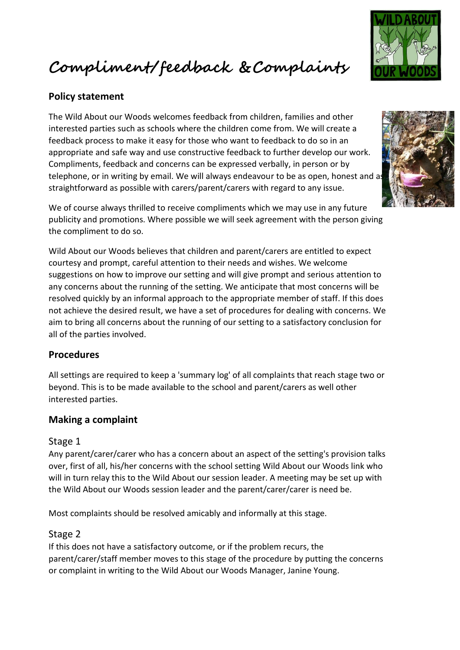# **Compliment/feedback &Complaints**

# **Policy statement**

The Wild About our Woods welcomes feedback from children, families and other interested parties such as schools where the children come from. We will create a feedback process to make it easy for those who want to feedback to do so in an appropriate and safe way and use constructive feedback to further develop our work. Compliments, feedback and concerns can be expressed verbally, in person or by telephone, or in writing by email. We will always endeavour to be as open, honest and as straightforward as possible with carers/parent/carers with regard to any issue.

We of course always thrilled to receive compliments which we may use in any future publicity and promotions. Where possible we will seek agreement with the person giving the compliment to do so.

Wild About our Woods believes that children and parent/carers are entitled to expect courtesy and prompt, careful attention to their needs and wishes. We welcome suggestions on how to improve our setting and will give prompt and serious attention to any concerns about the running of the setting. We anticipate that most concerns will be resolved quickly by an informal approach to the appropriate member of staff. If this does not achieve the desired result, we have a set of procedures for dealing with concerns. We aim to bring all concerns about the running of our setting to a satisfactory conclusion for all of the parties involved.

# **Procedures**

All settings are required to keep a 'summary log' of all complaints that reach stage two or beyond. This is to be made available to the school and parent/carers as well other interested parties.

# **Making a complaint**

#### Stage 1

Any parent/carer/carer who has a concern about an aspect of the setting's provision talks over, first of all, his/her concerns with the school setting Wild About our Woods link who will in turn relay this to the Wild About our session leader. A meeting may be set up with the Wild About our Woods session leader and the parent/carer/carer is need be.

Most complaints should be resolved amicably and informally at this stage.

# Stage 2

If this does not have a satisfactory outcome, or if the problem recurs, the parent/carer/staff member moves to this stage of the procedure by putting the concerns or complaint in writing to the Wild About our Woods Manager, Janine Young.

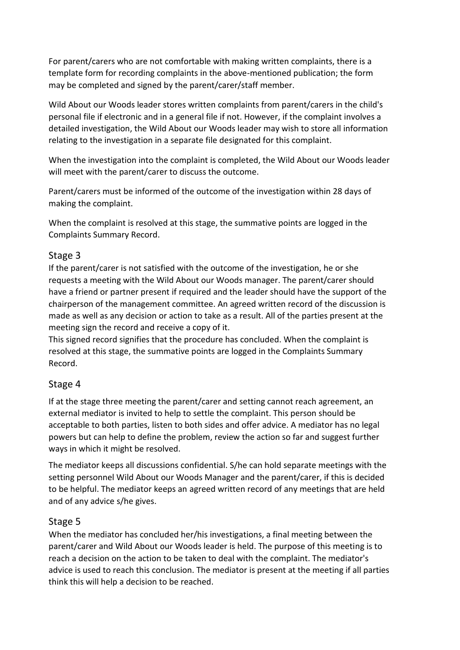For parent/carers who are not comfortable with making written complaints, there is a template form for recording complaints in the above-mentioned publication; the form may be completed and signed by the parent/carer/staff member.

Wild About our Woods leader stores written complaints from parent/carers in the child's personal file if electronic and in a general file if not. However, if the complaint involves a detailed investigation, the Wild About our Woods leader may wish to store all information relating to the investigation in a separate file designated for this complaint.

When the investigation into the complaint is completed, the Wild About our Woods leader will meet with the parent/carer to discuss the outcome.

Parent/carers must be informed of the outcome of the investigation within 28 days of making the complaint.

When the complaint is resolved at this stage, the summative points are logged in the Complaints Summary Record.

#### Stage 3

If the parent/carer is not satisfied with the outcome of the investigation, he or she requests a meeting with the Wild About our Woods manager. The parent/carer should have a friend or partner present if required and the leader should have the support of the chairperson of the management committee. An agreed written record of the discussion is made as well as any decision or action to take as a result. All of the parties present at the meeting sign the record and receive a copy of it.

This signed record signifies that the procedure has concluded. When the complaint is resolved at this stage, the summative points are logged in the Complaints Summary Record.

#### Stage 4

If at the stage three meeting the parent/carer and setting cannot reach agreement, an external mediator is invited to help to settle the complaint. This person should be acceptable to both parties, listen to both sides and offer advice. A mediator has no legal powers but can help to define the problem, review the action so far and suggest further ways in which it might be resolved.

The mediator keeps all discussions confidential. S/he can hold separate meetings with the setting personnel Wild About our Woods Manager and the parent/carer, if this is decided to be helpful. The mediator keeps an agreed written record of any meetings that are held and of any advice s/he gives.

#### Stage 5

When the mediator has concluded her/his investigations, a final meeting between the parent/carer and Wild About our Woods leader is held. The purpose of this meeting is to reach a decision on the action to be taken to deal with the complaint. The mediator's advice is used to reach this conclusion. The mediator is present at the meeting if all parties think this will help a decision to be reached.